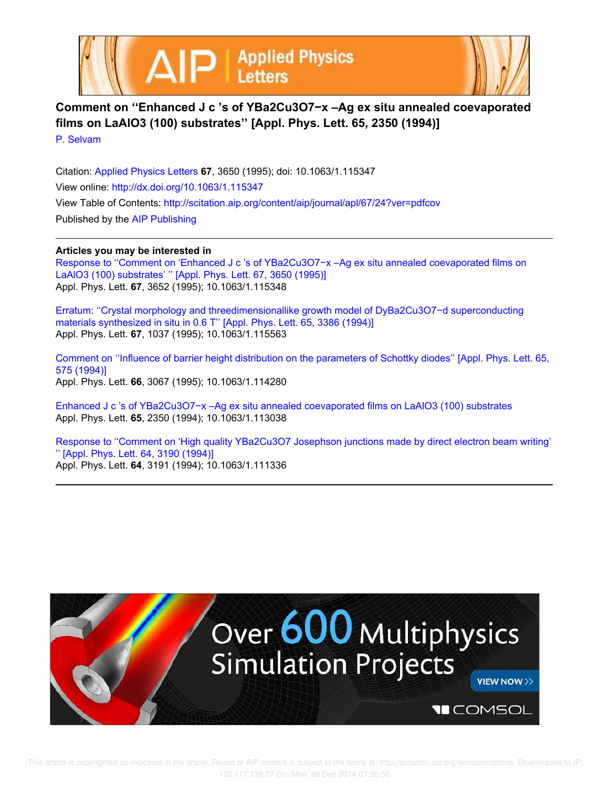



**Comment on ''Enhanced J c 's of YBa2Cu3O7−x –Ag ex situ annealed coevaporated films on LaAlO3 (100) substrates'' [Appl. Phys. Lett. 65, 2350 (1994)]**

P. Selvam

Citation: Applied Physics Letters **67**, 3650 (1995); doi: 10.1063/1.115347 View online: http://dx.doi.org/10.1063/1.115347 View Table of Contents: http://scitation.aip.org/content/aip/journal/apl/67/24?ver=pdfcov Published by the AIP Publishing

## **Articles you may be interested in**

Response to "Comment on 'Enhanced J c 's of YBa2Cu3O7-x –Ag ex situ annealed coevaporated films on LaAlO3 (100) substrates' '' [Appl. Phys. Lett. 67, 3650 (1995)] Appl. Phys. Lett. **67**, 3652 (1995); 10.1063/1.115348

Erratum: ''Crystal morphology and threedimensionallike growth model of DyBa2Cu3O7−d superconducting materials synthesized in situ in 0.6 T'' [Appl. Phys. Lett. 65, 3386 (1994)] Appl. Phys. Lett. **67**, 1037 (1995); 10.1063/1.115563

Comment on ''Influence of barrier height distribution on the parameters of Schottky diodes'' [Appl. Phys. Lett. 65, 575 (1994)] Appl. Phys. Lett. **66**, 3067 (1995); 10.1063/1.114280

Enhanced J c 's of YBa2Cu3O7−x –Ag ex situ annealed coevaporated films on LaAlO3 (100) substrates Appl. Phys. Lett. **65**, 2350 (1994); 10.1063/1.113038

Response to "Comment on 'High quality YBa2Cu3O7 Josephson junctions made by direct electron beam writing' '' [Appl. Phys. Lett. 64, 3190 (1994)] Appl. Phys. Lett. **64**, 3191 (1994); 10.1063/1.111336

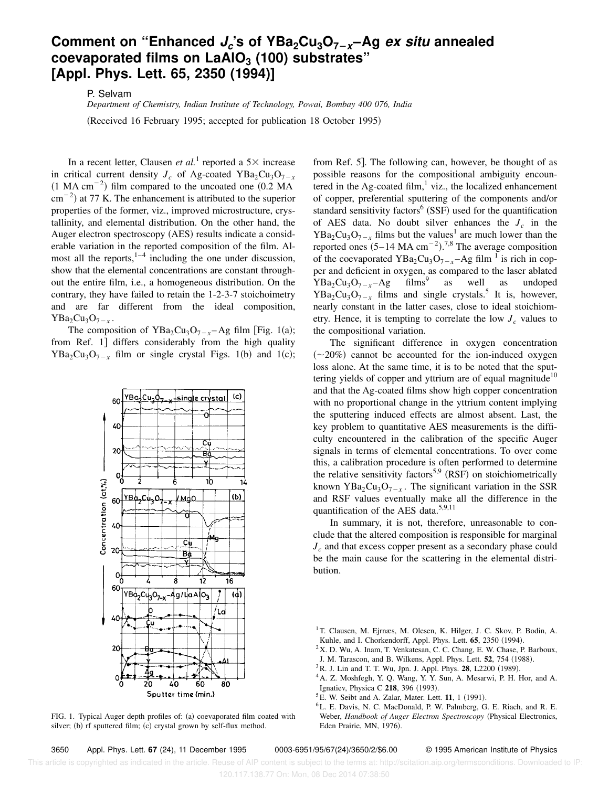## **Comment on ''Enhanced J<sup>c</sup> 's of YBa2Cu3O7**2**x–Ag ex situ annealed coevaporated films on LaAlO<sup>3</sup> (100) substrates'' [Appl. Phys. Lett. 65, 2350 (1994)]**

P. Selvam

*Department of Chemistry, Indian Institute of Technology, Powai, Bombay 400 076, India*

(Received 16 February 1995; accepted for publication 18 October 1995)

In a recent letter, Clausen *et al.*<sup>1</sup> reported a  $5 \times$  increase in critical current density  $J_c$  of Ag-coated YBa<sub>2</sub>Cu<sub>3</sub>O<sub>7-*x*</sub>  $(1 \text{ MA cm}^{-2})$  film compared to the uncoated one  $(0.2 \text{ MA})$  $\rm cm^{-2}$ ) at 77 K. The enhancement is attributed to the superior properties of the former, viz., improved microstructure, crystallinity, and elemental distribution. On the other hand, the Auger electron spectroscopy (AES) results indicate a considerable variation in the reported composition of the film. Almost all the reports, $1-4$  including the one under discussion, show that the elemental concentrations are constant throughout the entire film, i.e., a homogeneous distribution. On the contrary, they have failed to retain the 1-2-3-7 stoichoimetry and are far different from the ideal composition,  $YBa<sub>2</sub>Cu<sub>3</sub>O<sub>7-x</sub>$ .

The composition of  $YBa<sub>2</sub>Cu<sub>3</sub>O<sub>7-x</sub>– Ag film [Fig. 1(a);$ from Ref. 1] differs considerably from the high quality  $YBa<sub>2</sub>Cu<sub>3</sub>O<sub>7-x</sub>$  film or single crystal Figs. 1(b) and 1(c);



FIG. 1. Typical Auger depth profiles of: (a) coevaporated film coated with silver; (b) rf sputtered film; (c) crystal grown by self-flux method.

from Ref. 5. The following can, however, be thought of as possible reasons for the compositional ambiguity encountered in the Ag-coated film, $\frac{1}{1}$  viz., the localized enhancement of copper, preferential sputtering of the components and/or standard sensitivity factors $<sup>6</sup>$  (SSF) used for the quantification</sup> of AES data. No doubt silver enhances the  $J_c$  in the  $YBa<sub>2</sub>Cu<sub>3</sub>O<sub>7-x</sub>$  films but the values<sup>1</sup> are much lower than the reported ones  $(5-14 \text{ MA cm}^{-2})$ .<sup>7,8</sup> The average composition of the coevaporated  $YBa<sub>2</sub>Cu<sub>3</sub>O<sub>7-x</sub> - Ag film<sup>1</sup> is rich in cop$ per and deficient in oxygen, as compared to the laser ablated  $YBa<sub>2</sub>Cu<sub>3</sub>O<sub>7-x</sub>-Ag$  films<sup>9</sup> as well as undoped  $YBa<sub>2</sub>Cu<sub>3</sub>O<sub>7-x</sub>$  films and single crystals.<sup>5</sup> It is, however, nearly constant in the latter cases, close to ideal stoichiometry. Hence, it is tempting to correlate the low  $J_c$  values to the compositional variation.

The significant difference in oxygen concentration  $(\sim 20\%)$  cannot be accounted for the ion-induced oxygen loss alone. At the same time, it is to be noted that the sputtering yields of copper and yttrium are of equal magnitude<sup>10</sup> and that the Ag-coated films show high copper concentration with no proportional change in the yttrium content implying the sputtering induced effects are almost absent. Last, the key problem to quantitative AES measurements is the difficulty encountered in the calibration of the specific Auger signals in terms of elemental concentrations. To over come this, a calibration procedure is often performed to determine the relative sensitivity factors<sup>5,9</sup> (RSF) on stoichiometrically known  $YBa<sub>2</sub>Cu<sub>3</sub>O<sub>7-x</sub>$ . The significant variation in the SSR and RSF values eventually make all the difference in the quantification of the AES data. $5,9,11$ 

In summary, it is not, therefore, unreasonable to conclude that the altered composition is responsible for marginal *J<sup>c</sup>* and that excess copper present as a secondary phase could be the main cause for the scattering in the elemental distribution.

 $2X$ . D. Wu, A. Inam, T. Venkatesan, C. C. Chang, E. W. Chase, P. Barboux,

J. M. Tarascon, and B. Wilkens, Appl. Phys. Lett. **52**, 754 (1988).

<sup>6</sup>L. E. Davis, N. C. MacDonald, P. W. Palmberg, G. E. Riach, and R. E. Weber, *Handbook of Auger Electron Spectroscopy* (Physical Electronics, Eden Prairie, MN, 1976).

 This article is copyrighted as indicated in the article. Reuse of AIP content is subject to the terms at: http://scitation.aip.org/termsconditions. Downloaded to IP: 120.117.138.77 On: Mon, 08 Dec 2014 07:38:50

<sup>&</sup>lt;sup>1</sup>T. Clausen, M. Ejrnæs, M. Olesen, K. Hilger, J. C. Skov, P. Bodin, A. Kuhle, and I. Chorkendorff, Appl. Phys. Lett. **65**, 2350 (1994).

 $3R$ . J. Lin and T. T. Wu, Jpn. J. Appl. Phys. **28**, L2200 (1989).

<sup>4</sup>A. Z. Moshfegh, Y. Q. Wang, Y. Y. Sun, A. Mesarwi, P. H. Hor, and A. Ignatiev, Physica C 218, 396 (1993).

 ${}^{5}E$ . W. Seibt and A. Zalar, Mater. Lett. **11**, 1 (1991).